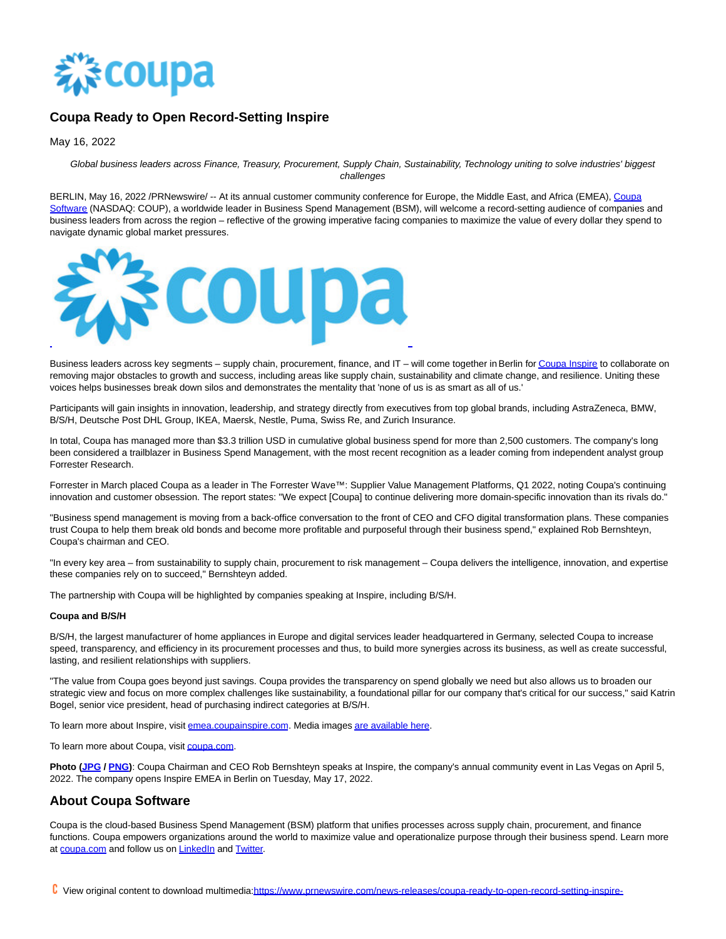

## **Coupa Ready to Open Record-Setting Inspire**

May 16, 2022

Global business leaders across Finance, Treasury, Procurement, Supply Chain, Sustainability, Technology uniting to solve industries' biggest challenges

BERLIN, May 16, 2022 /PRNewswire/ -- At its annual customer community conference for Europe, the Middle East, and Africa (EMEA), [Coupa](https://c212.net/c/link/?t=0&l=en&o=3537252-1&h=1207433697&u=http%3A%2F%2Fwww.coupa.com%2F&a=Coupa+Software) Software (NASDAQ: COUP), a worldwide leader in Business Spend Management (BSM), will welcome a record-setting audience of companies and business leaders from across the region – reflective of the growing imperative facing companies to maximize the value of every dollar they spend to navigate dynamic global market pressures.



Business leaders across key segments – supply chain, procurement, finance, and IT – will come together in Berlin fo[r Coupa Inspire t](https://c212.net/c/link/?t=0&l=en&o=3537252-1&h=735419822&u=https%3A%2F%2Femea.coupainspire.com%2F&a=Coupa+Inspire)o collaborate on removing major obstacles to growth and success, including areas like supply chain, sustainability and climate change, and resilience. Uniting these voices helps businesses break down silos and demonstrates the mentality that 'none of us is as smart as all of us.'

Participants will gain insights in innovation, leadership, and strategy directly from executives from top global brands, including AstraZeneca, BMW, B/S/H, Deutsche Post DHL Group, IKEA, Maersk, Nestle, Puma, Swiss Re, and Zurich Insurance.

In total, Coupa has managed more than \$3.3 trillion USD in cumulative global business spend for more than 2,500 customers. The company's long been considered a trailblazer in Business Spend Management, with the most recent recognition as a leader coming from independent analyst group Forrester Research.

Forrester in March placed Coupa as a leader in The Forrester Wave™: Supplier Value Management Platforms, Q1 2022, noting Coupa's continuing innovation and customer obsession. The report states: "We expect [Coupa] to continue delivering more domain-specific innovation than its rivals do."

"Business spend management is moving from a back-office conversation to the front of CEO and CFO digital transformation plans. These companies trust Coupa to help them break old bonds and become more profitable and purposeful through their business spend," explained Rob Bernshteyn, Coupa's chairman and CEO.

"In every key area – from sustainability to supply chain, procurement to risk management – Coupa delivers the intelligence, innovation, and expertise these companies rely on to succeed," Bernshteyn added.

The partnership with Coupa will be highlighted by companies speaking at Inspire, including B/S/H.

## **Coupa and B/S/H**

B/S/H, the largest manufacturer of home appliances in Europe and digital services leader headquartered in Germany, selected Coupa to increase speed, transparency, and efficiency in its procurement processes and thus, to build more synergies across its business, as well as create successful, lasting, and resilient relationships with suppliers.

"The value from Coupa goes beyond just savings. Coupa provides the transparency on spend globally we need but also allows us to broaden our strategic view and focus on more complex challenges like sustainability, a foundational pillar for our company that's critical for our success," said Katrin Bogel, senior vice president, head of purchasing indirect categories at B/S/H.

To learn more about Inspire, visi[t emea.coupainspire.com.](https://c212.net/c/link/?t=0&l=en&o=3537252-1&h=1658904427&u=https%3A%2F%2Femea.coupainspire.com%2F&a=emea.coupainspire.com) Media image[s are available here.](https://c212.net/c/link/?t=0&l=en&o=3537252-1&h=2764642669&u=https%3A%2F%2Fwww.dropbox.com%2Fsh%2Ff1uos4spbj06wcm%2FAAAnEIp3kAoaYbFidZPB7bJMa%3Fdl%3D0&a=are+available+here)

To learn more about Coupa, visi[t coupa.com.](https://c212.net/c/link/?t=0&l=en&o=3537252-1&h=1435929433&u=https%3A%2F%2Fwww.coupa.com%2Fthepowerofspend&a=coupa.com)

**Photo [\(JPG /](https://c212.net/c/link/?t=0&l=en&o=3537252-1&h=3269835509&u=https%3A%2F%2Fcoupa.pub%2F3kQiPWm&a=JPG) [PNG\)](https://c212.net/c/link/?t=0&l=en&o=3537252-1&h=2055348564&u=https%3A%2F%2Fcoupa.pub%2F3kVmfXW&a=PNG)**: Coupa Chairman and CEO Rob Bernshteyn speaks at Inspire, the company's annual community event in Las Vegas on April 5, 2022. The company opens Inspire EMEA in Berlin on Tuesday, May 17, 2022.

## **About Coupa Software**

Coupa is the cloud-based Business Spend Management (BSM) platform that unifies processes across supply chain, procurement, and finance functions. Coupa empowers organizations around the world to maximize value and operationalize purpose through their business spend. Learn more at [coupa.com a](https://c212.net/c/link/?t=0&l=en&o=3537252-1&h=158480950&u=https%3A%2F%2Fwww.coupa.com%2F&a=coupa.com)nd follow us o[n LinkedIn a](https://c212.net/c/link/?t=0&l=en&o=3537252-1&h=2464998686&u=https%3A%2F%2Fwww.linkedin.com%2Fcompany%2Fcoupa-software&a=LinkedIn)nd [Twitter.](https://c212.net/c/link/?t=0&l=en&o=3537252-1&h=1658754423&u=https%3A%2F%2Ftwitter.com%2FCoupa&a=Twitter)